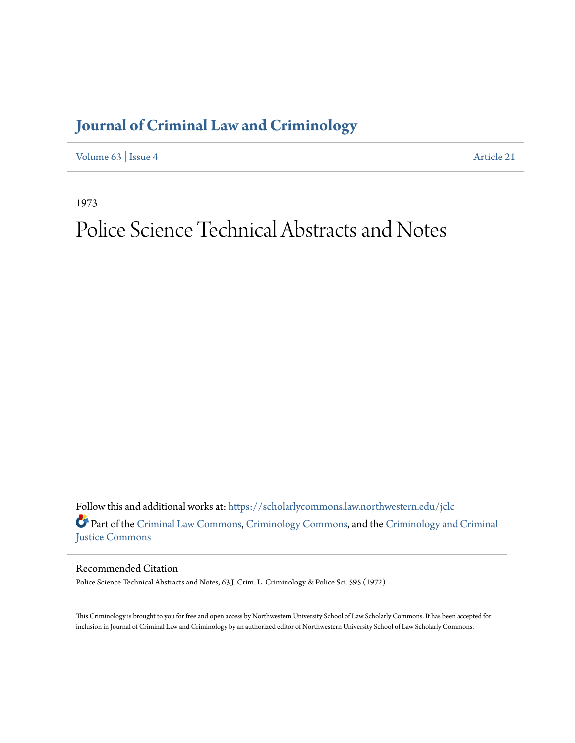## **[Journal of Criminal Law and Criminology](https://scholarlycommons.law.northwestern.edu/jclc?utm_source=scholarlycommons.law.northwestern.edu%2Fjclc%2Fvol63%2Fiss4%2F21&utm_medium=PDF&utm_campaign=PDFCoverPages)**

[Volume 63](https://scholarlycommons.law.northwestern.edu/jclc/vol63?utm_source=scholarlycommons.law.northwestern.edu%2Fjclc%2Fvol63%2Fiss4%2F21&utm_medium=PDF&utm_campaign=PDFCoverPages) | [Issue 4](https://scholarlycommons.law.northwestern.edu/jclc/vol63/iss4?utm_source=scholarlycommons.law.northwestern.edu%2Fjclc%2Fvol63%2Fiss4%2F21&utm_medium=PDF&utm_campaign=PDFCoverPages) [Article 21](https://scholarlycommons.law.northwestern.edu/jclc/vol63/iss4/21?utm_source=scholarlycommons.law.northwestern.edu%2Fjclc%2Fvol63%2Fiss4%2F21&utm_medium=PDF&utm_campaign=PDFCoverPages)

1973

## Police Science Technical Abstracts and Notes

Follow this and additional works at: [https://scholarlycommons.law.northwestern.edu/jclc](https://scholarlycommons.law.northwestern.edu/jclc?utm_source=scholarlycommons.law.northwestern.edu%2Fjclc%2Fvol63%2Fiss4%2F21&utm_medium=PDF&utm_campaign=PDFCoverPages) Part of the [Criminal Law Commons](http://network.bepress.com/hgg/discipline/912?utm_source=scholarlycommons.law.northwestern.edu%2Fjclc%2Fvol63%2Fiss4%2F21&utm_medium=PDF&utm_campaign=PDFCoverPages), [Criminology Commons](http://network.bepress.com/hgg/discipline/417?utm_source=scholarlycommons.law.northwestern.edu%2Fjclc%2Fvol63%2Fiss4%2F21&utm_medium=PDF&utm_campaign=PDFCoverPages), and the [Criminology and Criminal](http://network.bepress.com/hgg/discipline/367?utm_source=scholarlycommons.law.northwestern.edu%2Fjclc%2Fvol63%2Fiss4%2F21&utm_medium=PDF&utm_campaign=PDFCoverPages) [Justice Commons](http://network.bepress.com/hgg/discipline/367?utm_source=scholarlycommons.law.northwestern.edu%2Fjclc%2Fvol63%2Fiss4%2F21&utm_medium=PDF&utm_campaign=PDFCoverPages)

Recommended Citation

Police Science Technical Abstracts and Notes, 63 J. Crim. L. Criminology & Police Sci. 595 (1972)

This Criminology is brought to you for free and open access by Northwestern University School of Law Scholarly Commons. It has been accepted for inclusion in Journal of Criminal Law and Criminology by an authorized editor of Northwestern University School of Law Scholarly Commons.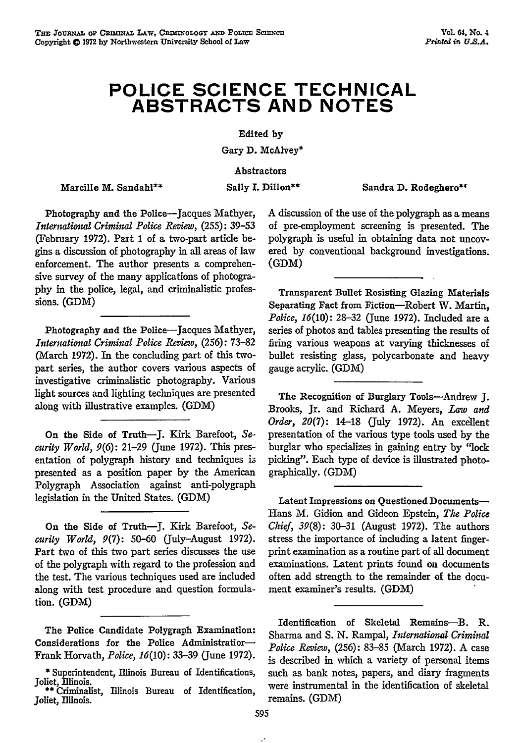## **POLICE SCIENCE TECHNICAL ABSTRACTS AND NOTES**

Edited **by**

Gary **D.** McAlvey\*

Abstractors

Marcille M. Sandahl\*\*

Sally I. Dillon<sup>\*\*</sup> Sandra D. Rodeghero<sup>\*\*</sup>

Photography and the Police-Jacques Mathyer, *International Criminal Police Review,* (255): 39-53 (February **1972).** Part 1 of a two-part article begins a discussion of photography in all areas of law enforcement. The author presents a comprehensive survey of the many applications of photogra**phy** in the police, legal, and criminalistic professions. (GDM)

Photography and the Police-Jacques Mathyer, *International Criminal Police Review,* (256): 73-82 (March 1972). In the concluding part of this twopart series, the author covers various aspects of investigative criminalistic photography. Various light sources and lighting techniques are presented along with illustrative examples. **(GDM)**

On the Side of Truth-J. Kirk Barefoot, *Security World,* **9(6):** 21-29 (June 1972). This presentation of polygraph history and techniques is presented as a position paper by the American Polygraph Association against anti-polygraph legislation in the United States. (GDM)

On the Side of Truth-J. Kirk Barefoot, *Security World,* 9(7): 50-60 (July-August 1972). Part two of this two part series discusses the use of the polygraph with regard to the profession and the test. The various techniques used are included along with test procedure and question formulation. (GDM)

A discussion of the use of the polygraph as a means of pre-employment screening is presented. The polygraph is useful in obtaining data not uncovered by conventional background investigations. (GDM)

Transparent Bullet Resisting Glazing Materials Separating Fact from Fiction-Robert W. Martin, *Police,* 16(10): 28-32 (June 1972). Included are a series of photos and tables presenting the results of firing various weapons at varying thicknesses of bullet resisting glass, polycarbonate and heavy gauge acrylic. (GDM)

The Recognition of Burglary Tools-Andrew **J.** Brooks, Jr. and Richard **A.** Meyers, *Law and Order, 20(7):* 14-18 (July 1972). An excellent presentation of the various type tools used by the burglar who specializes in gaining entry by "lock picking". Each type of device is illustrated photographically. **(GDM)**

Latent Impressions on Questioned Documents-Hans M. Gidion and Gideon Epstein, *The Police Chief, 39(8):* 30-31 (August 1972). The authors stress the importance of including a latent fingerprint examination as a routine part of all document examinations. Latent prints found on documents often add strength to the remainder of the document examiner's results. **(GDM)**

The Police Candidate Polygraph Examination: Considerations for the Police Administratior-Frank Horvath, *Police, 16(10):* 33-39 (June 1972).

**<sup>\*</sup>** Superintendent, Illinois Bureau of Identifications, Joliet, Illinois. **\*\*** Criminalist, Illinois Bureau of Identification,

Joliet, Illinois.

Identification of Skeletal Remains-B. R. Sharma and **S. N.** Rampal, *International Criminal Police Review,* (256): 83-85 (March 1972). A case is described in which a variety of personal items such as bank notes, papers, and diary fragments were instrumental in the identification of skeletal remains. (GDM)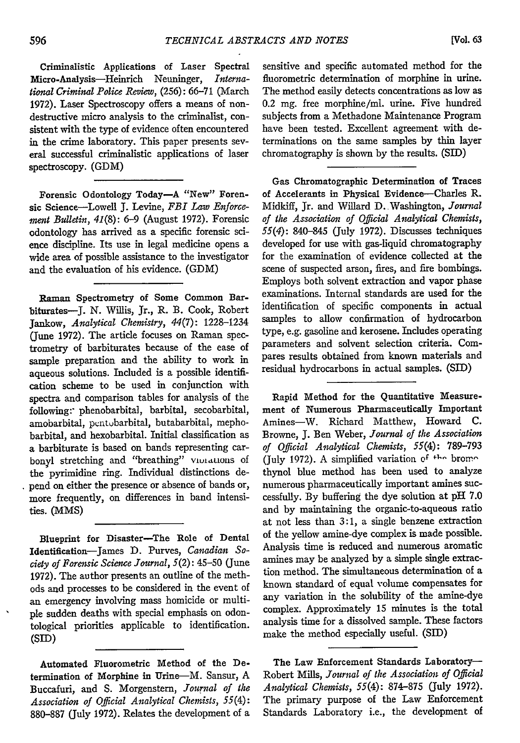Criminalistic Applications of Laser Spectral Micro-Analysis-Heinrich Neuninger, *International Criminal Police Review,* (256): 66-71 (March 1972). Laser Spectroscopy offers a means of nondestructive micro analysis to the criminalist, consistent with the type of evidence often encountered in the crime laboratory. This paper presents several successful criminalistic applications of laser spectroscopy. (GDM)

Forensic Odontology Today-A "New" Forensic Science-Lowell **J.** Levine, *FBI Law Enforcement Bulletin,* 41(8): 6-9 (August 1972). Forensic odontology has arrived as a specific forensic science discipline. Its use in legal medicine opens a wide area of possible assistance to the investigator and the evaluation of his evidence. (GDM)

Raman Spectrometry of Some Common Barbiturates-J. N. Willis, Jr., R. B. Cook, Robert Jankow, *Analytical Chemistry, 44(7):* 1228-1234 (June 1972). The article focuses on Raman spectrometry of barbiturates because of the ease of sample preparation and the ability to work in aqueous solutions. Included is a possible identification scheme to be used in conjunction with spectra and comparison tables for analysis of the following:- phenobarbital, barbital, secobarbital, amobarbital, pentobarbital, butabarbital, mephobarbital, and hexobarbital. Initial classification as a barbiturate is based on bands representing carbonyl stretching and "breathing" vuntations of the pyrimidine ring. Individual distinctions depend on either the presence or absence of bands or, more frequently, on differences in band intensities. (MMS)

Blueprint for Disaster-The Role of Dental Identification-James D. Purves, *Canadian Society of Forensic Science Journal,* 5(2): 45-50 (June 1972). The author presents an outline of the methods and processes to be considered in the event of an emergency involving mass homicide or multiple sudden deaths with special emphasis on odontological priorities applicable to identification. **(SID)**

Automated Fluorometric Method of the Determination of Morphine in Urine-M. Sansur, A Buccafuri, and **S.** Morgenstern, *Journal of the Association of Official Analytical Chemists, 55(4):* 880-887 (July 1972). Relates the development of a sensitive and specific automated method for the fluorometric determination of morphine in urine. The method easily detects concentrations as low as 0.2 mg. free morphine/ml. urine. Five hundred subjects from a Methadone Maintenance Program have been tested. Excellent agreement with determinations on the same samples by thin layer chromatography is shown by the results. (SID)

Gas Chromatographic Determination of Traces of Accelerants in Physical Evidence-Charles R. Midkiff, Jr. and Willard D. Washington, *Journal of the Association of Official Analytical Chemists, 55(4):* 840-845 (July 1972). Discusses techniques developed for use with gas-liquid chromatography for the examination of evidence collected at the scene of suspected arson, fires, and fire bombings. Employs both solvent extraction and vapor phase examinations. Internal standards are used for the identification of specific components in actual samples to allow confirmation of hydrocarbon type, e.g. gasoline and kerosene. Includes operating parameters and solvent selection criteria. Compares results obtained from known materials and residual hydrocarbons in actual samples. (SID)

Rapid Method for the Quantitative Measurement of Numerous Pharmaceutically Important Amines-W. Richard Matthew, Howard C. Browne, J. Ben Weber, *Journal of the Association of Official Analytical Chemists, 55(4):* 789-793 (July 1972). A simplified variation *of* **+I--** brom.. thynol blue method has been used to analyze numerous pharmaceutically important amines successfuly. By buffering the dye solution at pH 7.0 and by maintaining the organic-to-aqueous ratio at not less than 3:1, a single benzene extraction of the yellow amine-dye complex is made possible. Analysis time is reduced and numerous aromatic amines may be analyzed by a simple single extraction method. The simultaneous determination of a known standard of equal volume compensates for any variation in the solubility of the amine-dye complex. Approximately 15 minutes is the total analysis time for a dissolved sample. These factors make the method especially useful. **(SID)**

The Law Enforcement Standards Laboratory-Robert Mills, *Journal of the Association of Official Analytical Chemists, 55(4):* 874-875 (July 1972). The primary purpose of the Law Enforcement Standards Laboratory i.e., the development of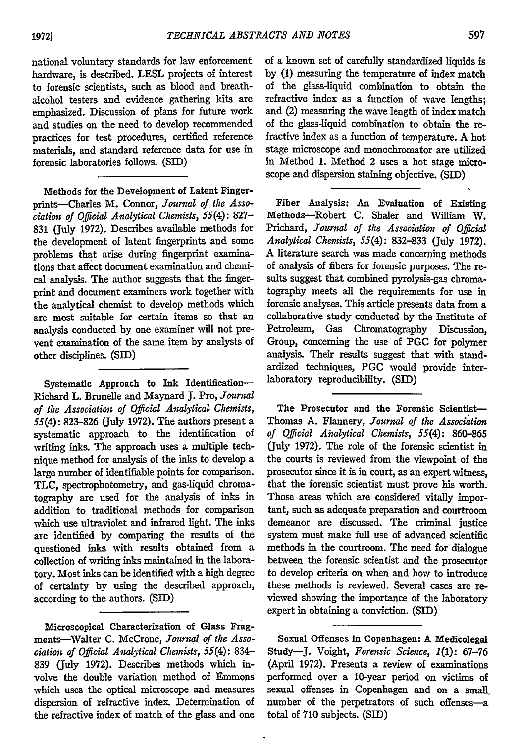national voluntary standards for law enforcement hardware, is described. LESL projects of interest to forensic scientists, such as blood and breathalcohol testers and evidence gathering kits are emphasized. Discussion of plans for future work and studies on the need to develop recommended practices for test procedures, certified reference materials, and standard reference data for use in forensic laboratories follows. (SID)

Methods for the Development of Latent Fingerprints-Charles M. Connor, *Journal of the Association of Official Analytical Chemists, 55(4):* **827-** 831 (July 1972). Describes available methods for the development of latent fingerprints and some problems that arise during fingerprint examinations that affect document examination and chemical analysis. The author suggests that the fingerprint and document examiners work together with the analytical chemist to develop methods which are most suitable for certain items so that an analysis conducted by one examiner will not prevent examination of the same item by analysts of other disciplines. **(SID)**

Systematic Approach to Ink Identification-Richard L. Brunelle and Maynard **J.** Pro, *Journal of the Association of Official Analytical Chemists,* 55(4): 823-826 (July 1972). The authors present a systematic approach to the identification of writing inks. The approach uses a multiple technique method for analysis of the inks to develop a large number of identifiable points for comparison. **TLC,** spectrophotometry, and gas-liquid chromatography are used for the analysis of inks in addition to traditional methods for comparison which use ultraviolet and infrared light. The inks are identified by comparing the results of the questioned inks with results obtained from a collection of writing inks maintained in the laboratory. Most inks can be identified with a high degree of certainty by using the described approach, according to the authors. **(SI))**

Microscopical Characterization of Glass Fragments-Walter **C.** McCrone, *Journal of the Association of Official Analytical Chemists, 55(4):* 834- 839 (July **1972).** Describes methods which involve the double variation method of Emmons which uses the optical microscope and measures dispersion of refractive index. Determination of the refractive index of match of the glass and one of a known set of carefully standardized liquids is **by (1)** measuring the temperature of index match of the glass-liquid combination to obtain the refractive index as a function of wave lengths; and (2) measuring the wave length of index match of the glass-liquid combination to obtain the refractive index as a function of temperature. A hot stage microscope and monochromator are utilized in Method 1. Method 2 uses a hot stage microscope and dispersion staining objective. **(SID)**

Fiber Analysis: An Evaluation of Existing Methods-Robert **C.** Shaler and William W. Prichard, *Journal of the Association of Official Analytical Chemists, 55(4):* 832-833 (July **1972). A** literature search was made concerning methods of analysis of fibers for forensic purposes. The results suggest that combined pyrolysis-gas chromatography meets all the requirements for use in forensic analyses. This article presents data from a collaborative study conducted by the Institute of Petroleum, Gas Chromatography Discussion, Group, concerning the use of **PGC** for polymer analysis. Their results suggest that with standardized techniques, **PGC** would provide interlaboratory reproducibility. **(SID)**

The Prosecutor and the Forensic Scientist-Thomas **A.** Flannery, *Journal of the Association of Official Analytical Chemists, 55(4):* 860-865 (July **1972).** The role of the forensic scientist in the courts is reviewed from the viewpoint of the prosecutor since it is in court, as an expert witness, that the forensic scientist must prove his worth. Those areas which are considered vitally important, such as adequate preparation and courtroom demeanor are discussed. The criminal justice system must make full use of advanced scientific methods in the courtroom. The need for dialogue between the forensic scientist and the prosecutor to develop criteria on when and how to introduce these methods is reviewed. Several cases are reviewed showing the importance of the laboratory expert in obtaining a conviction. **(SID)**

Sexual Offenses in Copenhagen: **A** Medicolegal Study-J. Voight, *Forensic Science, 1(1):* **67-76** (April **1972).** Presents a review of examinations performed over a 10-year period on victims of sexual offenses in Copenhagen and on a small number of the perpetrators of such offenses-a total of **710** subjects. (SID)